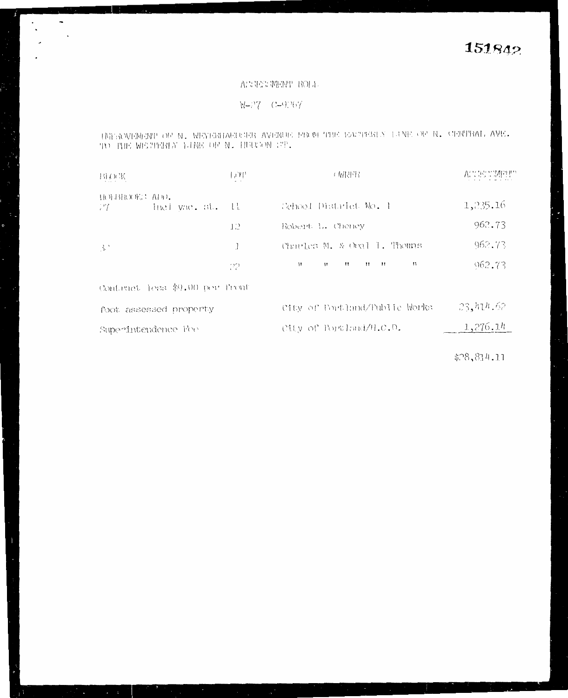## ASSESSMENT ROLL

 $W=77$   $C=9767$ 

 $\overline{\phantom{a}}$  $\sim 10$ 

> INFROVEMENT OF N. MEYERHAFUCER AVENUE FROM THE EACTERN X LINE OF N. CENTRAL AVE. TO THE WESTERLY LINE OF N. HUISON ST.

| <b>BLOCK</b>                              | $\mathbb{R}^n$ | 工房内付き                                                                               | ACCESSIMETE |
|-------------------------------------------|----------------|-------------------------------------------------------------------------------------|-------------|
| HOLBROOKS ADD.<br>thel yae, st. Il<br>-77 |                | School District No. 1                                                               | 1,235.16    |
|                                           | 12             | Robert L. Cheney                                                                    | 962.73      |
| $\mathbb{R}^2$                            |                | Charles M. & Oral 1. Thomas                                                         | 962.73      |
|                                           | 22             | $\mathbf{H}$ $\mathbf{H}$ $\mathbf{H}$ $\mathbf{H}$<br>$^{\dagger}$<br>$^{\dagger}$ | 962.73      |
| Contract less \$9.00 per front            |                |                                                                                     |             |
| foot assessed property                    |                | City of Portland/Public Works                                                       | 23,414.62   |
| Superintendence Fee                       |                | City of Portland/H.C.D.                                                             | 1,276.14    |
|                                           |                |                                                                                     |             |

 $$78,814.11$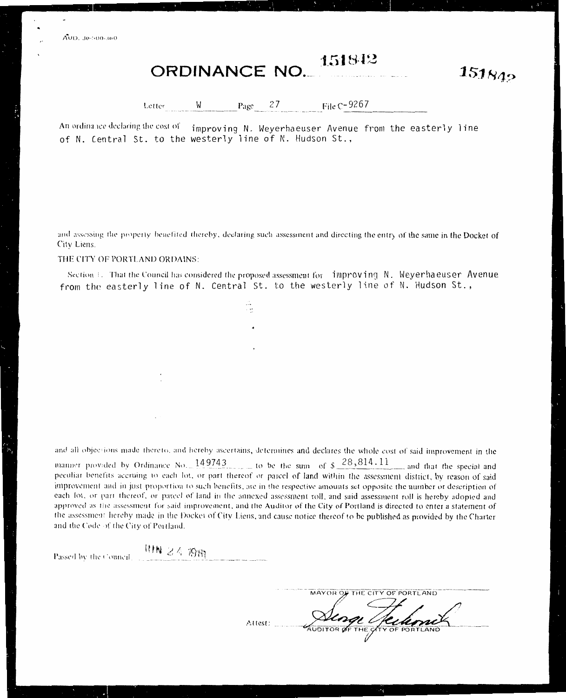AUD. 30-500-360

## 151849 **ORDINANCE NO.**

 $151842$ 

 $27$ File C-9267 W Letter Page

An ordinance declaring the cost of improving N. Weverhaeuser Avenue from the easterly line of N. Central St. to the westerly line of N. Hudson St..

and assessing the property benefited thereby, declaring such assessment and directing the entry of the same in the Docket of City Liens.

## THE CITY OF PORTLAND ORDAINS:

Section 1. That the Council has considered the proposed assessment for improving N. Weyerhaeuser Avenue from the easterly line of N. Central St. to the westerly line of N. Hudson St..

and all objections made thereto, and hereby ascertains, determines and declares the whole cost of said improvement in the manner provided by Ordinance No. 149743 to be the sum of \$ 28,814.11 and that the special and peculiar benefits accruing to each lot, or part thereof or parcel of land within the assessment district, by reason of said improvement and in just proportion to such benefits, are in the respective amounts set opposite the number or description of each lot, or part thereof, or parcel of land in the annexed assessment roll, and said assessment roll is hereby adopted and approved as the assessment for said improvement, and the Auditor of the City of Portland is directed to enter a statement of the assessment hereby made in the Docket of City Liens, and cause notice thereof to be published as provided by the Charter and the Code of the City of Portland.

一种N 24 1919 Passed by the Council.

|         | MAYOR OF THE CITY OF PORTLAND   |
|---------|---------------------------------|
|         |                                 |
| Attest: | estine                          |
|         | AUDITOR OF THE CITY OF PORTLAND |
|         |                                 |